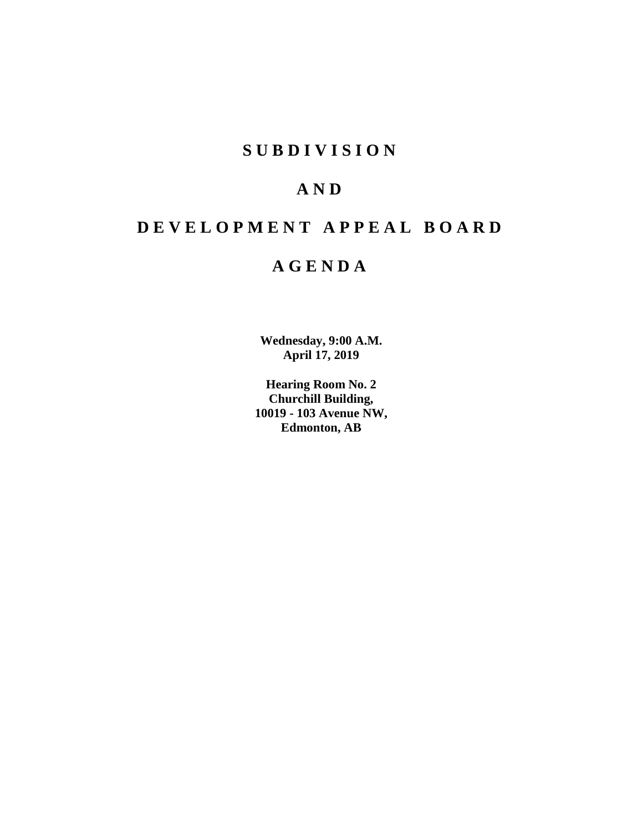# **SUBDIVISION**

# **AND**

# **DEVELOPMENT APPEAL BOARD**

# **AGENDA**

**Wednesday, 9:00 A.M. April 17, 2019**

**Hearing Room No. 2 Churchill Building, 10019 - 103 Avenue NW, Edmonton, AB**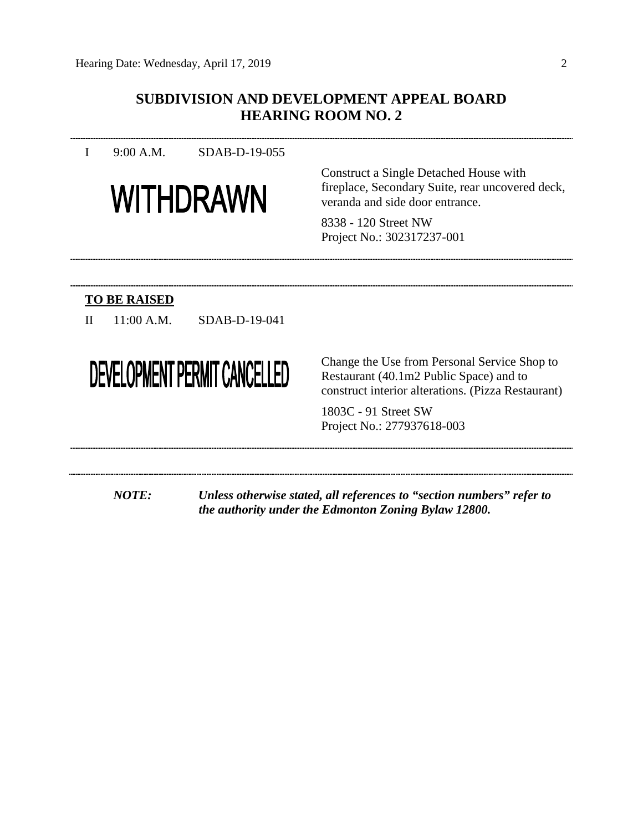# **SUBDIVISION AND DEVELOPMENT APPEAL BOARD HEARING ROOM NO. 2**

I 9:00 A.M. SDAB-D-19-055



Construct a Single Detached House with fireplace, Secondary Suite, rear uncovered deck, veranda and side door entrance.

8338 - 120 Street NW Project No.: 302317237-001

# **TO BE RAISED**

II 11:00 A.M. SDAB-D-19-041

# DEVELOPMENT PERMIT CANCELLED

Change the Use from Personal Service Shop to Restaurant (40.1m2 Public Space) and to construct interior alterations. (Pizza Restaurant)

1803C - 91 Street SW Project No.: 277937618-003

*NOTE: Unless otherwise stated, all references to "section numbers" refer to the authority under the Edmonton Zoning Bylaw 12800.*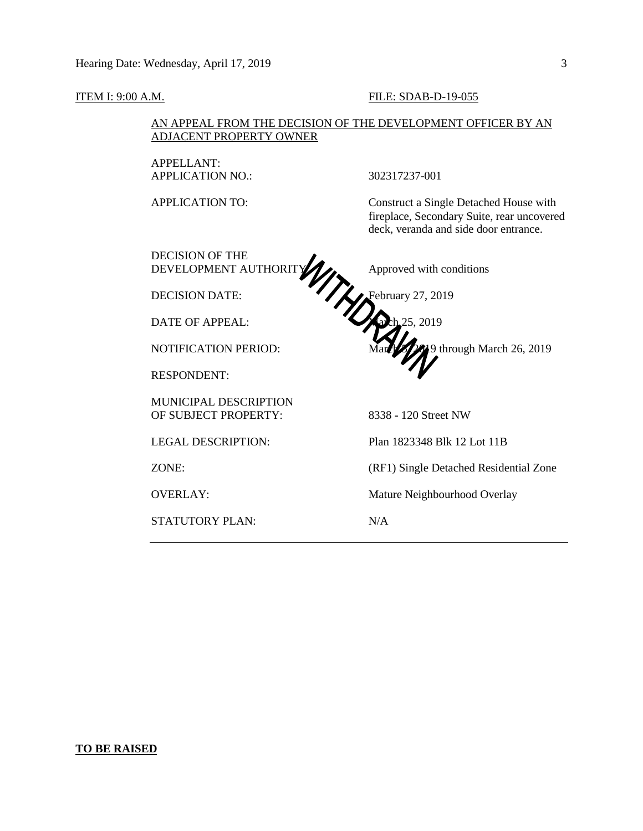#### **ITEM I: 9:00 A.M. FILE: SDAB-D-19-055**

# AN APPEAL FROM THE DECISION OF THE DEVELOPMENT OFFICER BY AN ADJACENT PROPERTY OWNER

APPELLANT: APPLICATION NO.: 302317237-001

APPLICATION TO: Construct a Single Detached House with fireplace, Secondary Suite, rear uncovered deck, veranda and side door entrance.

DECISION OF THE DEVELOPMENT AUTHORITY A Approved with conditions DECISION DATE: **February 27, 2019** DATE OF APPEAL: March 25, 2019 NOTIFICATION PERIOD: March 26, 2019 RESPONDENT: MUNICIPAL DESCRIPTION OF SUBJECT PROPERTY: 8338 - 120 Street NW LEGAL DESCRIPTION: Plan 1823348 Blk 12 Lot 11B ZONE: (RF1) Single Detached Residential Zone OVERLAY: Mature Neighbourhood Overlay STATUTORY PLAN: N/A

#### **TO BE RAISED**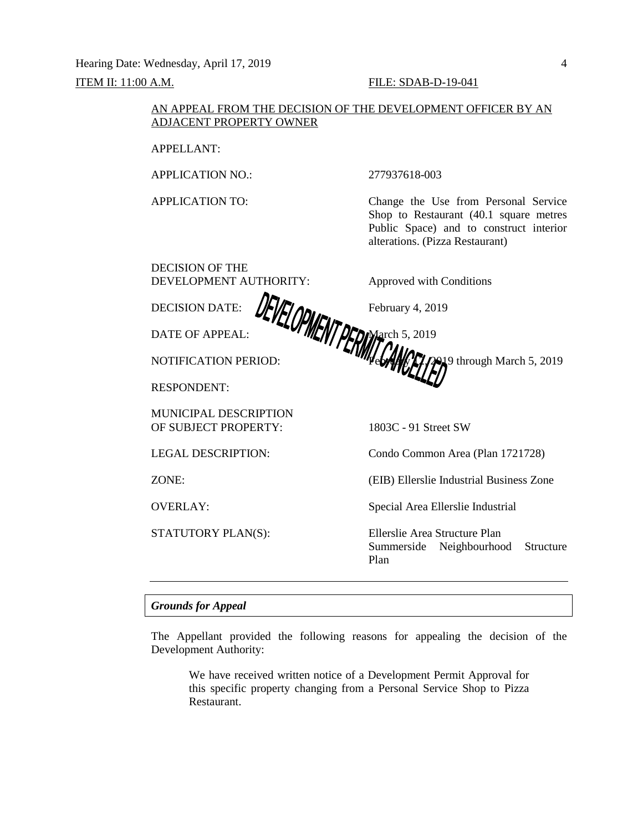Hearing Date: Wednesday, April 17, 2019 4

# ITEM II: 11:00 A.M. FILE: SDAB-D-19-041

## AN APPEAL FROM THE DECISION OF THE DEVELOPMENT OFFICER BY AN ADJACENT PROPERTY OWNER

APPELLANT:

APPLICATION NO.: 277937618-003

DECISION OF THE

APPLICATION TO: Change the Use from Personal Service Shop to Restaurant (40.1 square metres Public Space) and to construct interior alterations. (Pizza Restaurant)

DEVELOPMENT AUTHORITY: Approved with Conditions

DECISION DATE:  $\sqrt{\frac{1}{2}} \sqrt{2} \lambda$ 

NOTIFICATION PERIOD: **For the only 12, 2019** through March 5, 2019

DATE OF APPEAL: **MARTH MARK** 1999

RESPONDENT:

MUNICIPAL DESCRIPTION OF SUBJECT PROPERTY: 1803C - 91 Street SW

LEGAL DESCRIPTION: Condo Common Area (Plan 1721728)

ZONE: (EIB) Ellerslie Industrial Business Zone

OVERLAY: Special Area Ellerslie Industrial

STATUTORY PLAN(S): Ellerslie Area Structure Plan Summerside Neighbourhood Structure Plan

# *Grounds for Appeal*

The Appellant provided the following reasons for appealing the decision of the Development Authority:

We have received written notice of a Development Permit Approval for this specific property changing from a Personal Service Shop to Pizza Restaurant.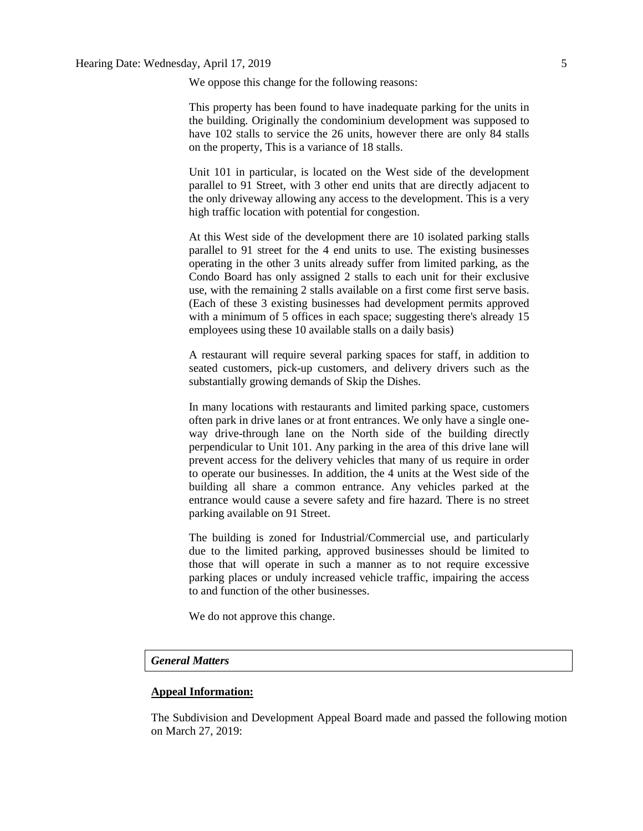We oppose this change for the following reasons:

This property has been found to have inadequate parking for the units in the building. Originally the condominium development was supposed to have 102 stalls to service the 26 units, however there are only 84 stalls on the property, This is a variance of 18 stalls.

Unit 101 in particular, is located on the West side of the development parallel to 91 Street, with 3 other end units that are directly adjacent to the only driveway allowing any access to the development. This is a very high traffic location with potential for congestion.

At this West side of the development there are 10 isolated parking stalls parallel to 91 street for the 4 end units to use. The existing businesses operating in the other 3 units already suffer from limited parking, as the Condo Board has only assigned 2 stalls to each unit for their exclusive use, with the remaining 2 stalls available on a first come first serve basis. (Each of these 3 existing businesses had development permits approved with a minimum of 5 offices in each space; suggesting there's already 15 employees using these 10 available stalls on a daily basis)

A restaurant will require several parking spaces for staff, in addition to seated customers, pick-up customers, and delivery drivers such as the substantially growing demands of Skip the Dishes.

In many locations with restaurants and limited parking space, customers often park in drive lanes or at front entrances. We only have a single oneway drive-through lane on the North side of the building directly perpendicular to Unit 101. Any parking in the area of this drive lane will prevent access for the delivery vehicles that many of us require in order to operate our businesses. In addition, the 4 units at the West side of the building all share a common entrance. Any vehicles parked at the entrance would cause a severe safety and fire hazard. There is no street parking available on 91 Street.

The building is zoned for Industrial/Commercial use, and particularly due to the limited parking, approved businesses should be limited to those that will operate in such a manner as to not require excessive parking places or unduly increased vehicle traffic, impairing the access to and function of the other businesses.

We do not approve this change.

#### *General Matters*

#### **Appeal Information:**

The Subdivision and Development Appeal Board made and passed the following motion on March 27, 2019: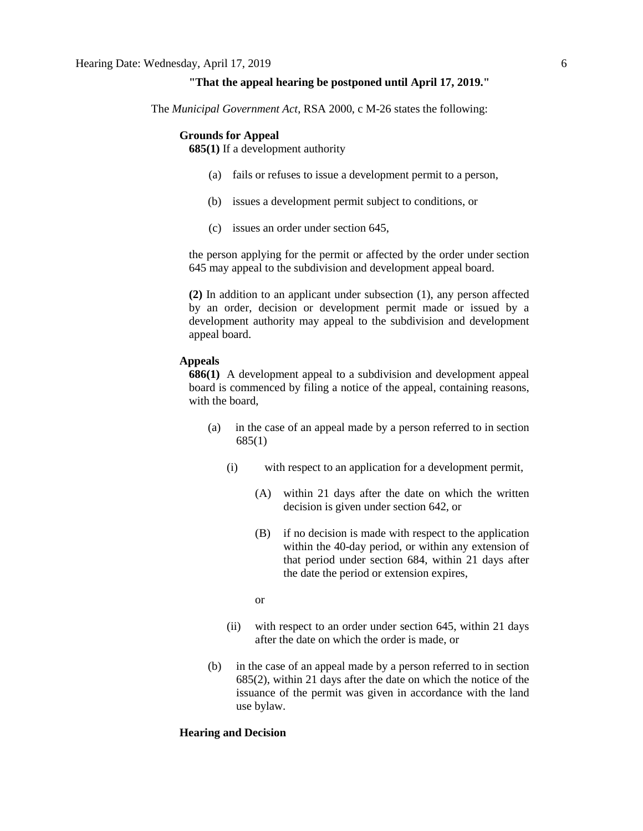#### **"That the appeal hearing be postponed until April 17, 2019."**

The *Municipal Government Act*, RSA 2000, c M-26 states the following:

#### **Grounds for Appeal**

**685(1)** If a development authority

- (a) fails or refuses to issue a development permit to a person,
- (b) issues a development permit subject to conditions, or
- (c) issues an order under section 645,

the person applying for the permit or affected by the order under section 645 may appeal to the subdivision and development appeal board.

**(2)** In addition to an applicant under subsection (1), any person affected by an order, decision or development permit made or issued by a development authority may appeal to the subdivision and development appeal board.

#### **Appeals**

**686(1)** A development appeal to a subdivision and development appeal board is commenced by filing a notice of the appeal, containing reasons, with the board,

- (a) in the case of an appeal made by a person referred to in section 685(1)
	- (i) with respect to an application for a development permit,
		- (A) within 21 days after the date on which the written decision is given under section 642, or
		- (B) if no decision is made with respect to the application within the 40-day period, or within any extension of that period under section 684, within 21 days after the date the period or extension expires,

or

- (ii) with respect to an order under section 645, within 21 days after the date on which the order is made, or
- (b) in the case of an appeal made by a person referred to in section 685(2), within 21 days after the date on which the notice of the issuance of the permit was given in accordance with the land use bylaw.

#### **Hearing and Decision**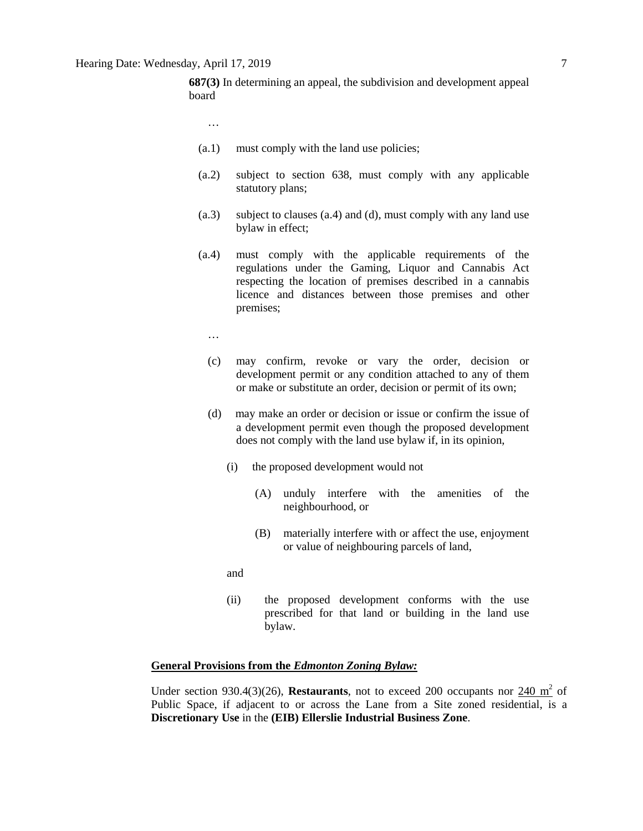**687(3)** In determining an appeal, the subdivision and development appeal board

- …
- (a.1) must comply with the land use policies;
- (a.2) subject to section 638, must comply with any applicable statutory plans;
- (a.3) subject to clauses (a.4) and (d), must comply with any land use bylaw in effect;
- (a.4) must comply with the applicable requirements of the regulations under the Gaming, Liquor and Cannabis Act respecting the location of premises described in a cannabis licence and distances between those premises and other premises;
	- …
	- (c) may confirm, revoke or vary the order, decision or development permit or any condition attached to any of them or make or substitute an order, decision or permit of its own;
	- (d) may make an order or decision or issue or confirm the issue of a development permit even though the proposed development does not comply with the land use bylaw if, in its opinion,
		- (i) the proposed development would not
			- (A) unduly interfere with the amenities of the neighbourhood, or
			- (B) materially interfere with or affect the use, enjoyment or value of neighbouring parcels of land,
		- and
		- (ii) the proposed development conforms with the use prescribed for that land or building in the land use bylaw.

## **General Provisions from the** *Edmonton Zoning Bylaw:*

Under section 930.4(3)(26), **Restaurants**, not to exceed 200 occupants nor  $\frac{240 \text{ m}^2}{\text{m}^2}$  of Public Space, if adjacent to or across the Lane from a Site zoned residential, is a **Discretionary Use** in the **(EIB) Ellerslie Industrial Business Zone**.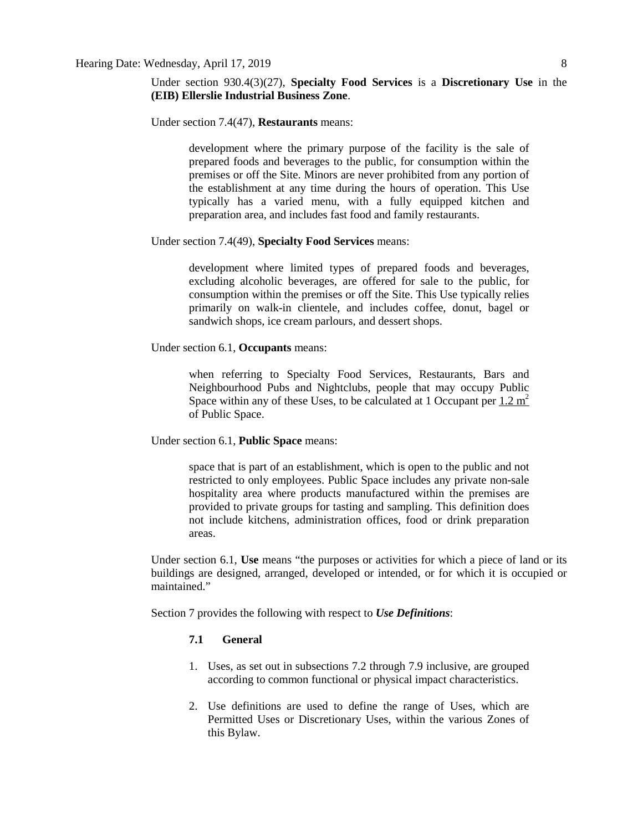Under section 930.4(3)(27), **Specialty Food Services** is a **Discretionary Use** in the **(EIB) Ellerslie Industrial Business Zone**.

Under section 7.4(47), **Restaurants** means:

development where the primary purpose of the facility is the sale of prepared foods and beverages to the public, for consumption within the premises or off the Site. Minors are never prohibited from any portion of the establishment at any time during the hours of operation. This Use typically has a varied menu, with a fully equipped kitchen and preparation area, and includes fast food and family restaurants.

## Under section 7.4(49), **Specialty Food Services** means:

development where limited types of prepared foods and beverages, excluding alcoholic beverages, are offered for sale to the public, for consumption within the premises or off the Site. This Use typically relies primarily on walk-in clientele, and includes coffee, donut, bagel or sandwich shops, ice cream parlours, and dessert shops.

## Under section 6.1, **Occupants** means:

when referring to Specialty Food Services, Restaurants, Bars and Neighbourhood Pubs and Nightclubs, people that may occupy Public Space within any of these Uses, to be calculated at 1 Occupant per  $1.2 \text{ m}^2$ of Public Space.

Under section 6.1, **Public Space** means:

space that is part of an establishment, which is open to the public and not restricted to only employees. Public Space includes any private non-sale hospitality area where products manufactured within the premises are provided to private groups for tasting and sampling. This definition does not include kitchens, administration offices, food or drink preparation areas.

Under section 6.1, **Use** means "the purposes or activities for which a piece of land or its buildings are designed, arranged, developed or intended, or for which it is occupied or maintained."

Section 7 provides the following with respect to *Use Definitions*:

# **7.1 General**

- 1. Uses, as set out in subsections 7.2 through 7.9 inclusive, are grouped according to common functional or physical impact characteristics.
- 2. Use definitions are used to define the range of Uses, which are Permitted Uses or Discretionary Uses, within the various Zones of this Bylaw.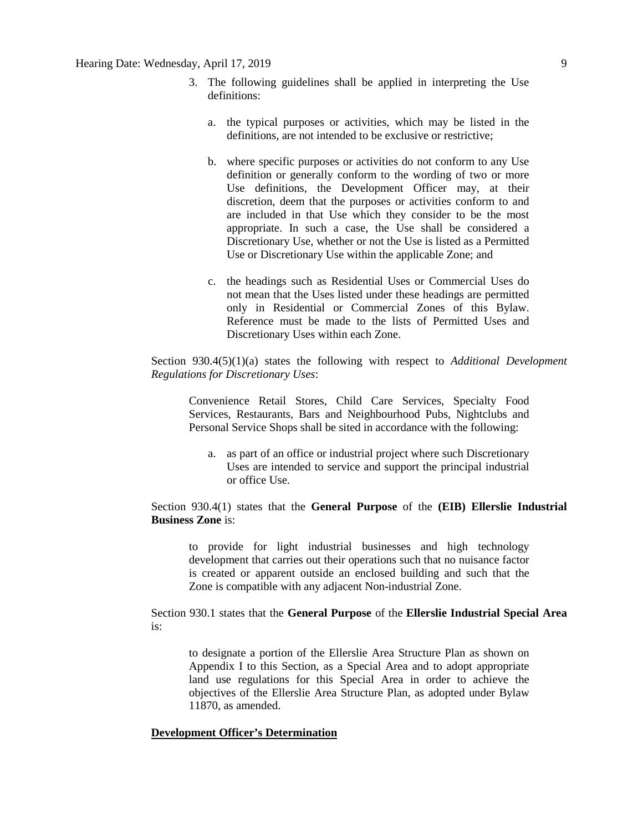- 3. The following guidelines shall be applied in interpreting the Use definitions:
	- a. the typical purposes or activities, which may be listed in the definitions, are not intended to be exclusive or restrictive;
	- b. where specific purposes or activities do not conform to any Use definition or generally conform to the wording of two or more Use definitions, the Development Officer may, at their discretion, deem that the purposes or activities conform to and are included in that Use which they consider to be the most appropriate. In such a case, the Use shall be considered a Discretionary Use, whether or not the Use is listed as a Permitted Use or Discretionary Use within the applicable Zone; and
	- c. the headings such as Residential Uses or Commercial Uses do not mean that the Uses listed under these headings are permitted only in Residential or Commercial Zones of this Bylaw. Reference must be made to the lists of Permitted Uses and Discretionary Uses within each Zone.

Section 930.4(5)(1)(a) states the following with respect to *Additional Development Regulations for Discretionary Uses*:

Convenience Retail Stores, Child Care Services, Specialty Food Services, Restaurants, Bars and Neighbourhood Pubs, Nightclubs and Personal Service Shops shall be sited in accordance with the following:

a. as part of an office or industrial project where such Discretionary Uses are intended to service and support the principal industrial or office Use.

Section 930.4(1) states that the **General Purpose** of the **(EIB) Ellerslie Industrial Business Zone** is:

to provide for light industrial businesses and high technology development that carries out their operations such that no nuisance factor is created or apparent outside an enclosed building and such that the Zone is compatible with any adjacent Non-industrial Zone.

Section 930.1 states that the **General Purpose** of the **Ellerslie Industrial Special Area** is:

to designate a portion of the Ellerslie Area Structure Plan as shown on Appendix I to this Section, as a Special Area and to adopt appropriate land use regulations for this Special Area in order to achieve the objectives of the Ellerslie Area Structure Plan, as adopted under Bylaw 11870, as amended.

# **Development Officer's Determination**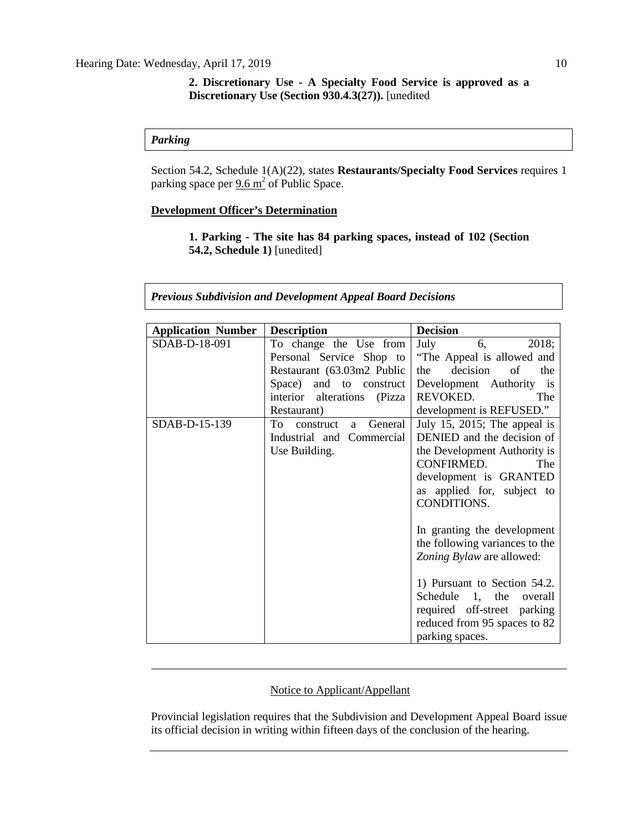# *Parking*

Section 54.2, Schedule 1(A)(22), states **Restaurants/Specialty Food Services** requires 1 parking space per  $9.6 \text{ m}^2$  of Public Space.

# **Development Officer's Determination**

**1. Parking - The site has 84 parking spaces, instead of 102 (Section 54.2, Schedule 1)** [unedited]

| <b>Previous Subdivision and Development Appeal Board Decisions</b> |  |  |  |  |  |  |
|--------------------------------------------------------------------|--|--|--|--|--|--|
|--------------------------------------------------------------------|--|--|--|--|--|--|

| <b>Application Number</b> | <b>Description</b>              | <b>Decision</b>                |
|---------------------------|---------------------------------|--------------------------------|
| SDAB-D-18-091             | To change the Use from          | 2018;<br>July<br>6,            |
|                           | Personal Service Shop to        | "The Appeal is allowed and     |
|                           | Restaurant (63.03m2 Public      | decision<br>the<br>of<br>the   |
|                           | and to construct<br>Space)      | Development Authority is       |
|                           | interior alterations (Pizza     | REVOKED.<br>The                |
|                           | Restaurant)                     | development is REFUSED."       |
| SDAB-D-15-139             | To<br>General<br>construct<br>a | July 15, 2015; The appeal is   |
|                           | Industrial and Commercial       | DENIED and the decision of     |
|                           | Use Building.                   | the Development Authority is   |
|                           |                                 | CONFIRMED.<br>The              |
|                           |                                 | development is GRANTED         |
|                           |                                 | as applied for, subject to     |
|                           |                                 | CONDITIONS.                    |
|                           |                                 |                                |
|                           |                                 | In granting the development    |
|                           |                                 | the following variances to the |
|                           |                                 | Zoning Bylaw are allowed:      |
|                           |                                 |                                |
|                           |                                 | 1) Pursuant to Section 54.2.   |
|                           |                                 | Schedule 1, the<br>overall     |
|                           |                                 | required off-street parking    |
|                           |                                 | reduced from 95 spaces to 82   |
|                           |                                 | parking spaces.                |

# Notice to Applicant/Appellant

Provincial legislation requires that the Subdivision and Development Appeal Board issue its official decision in writing within fifteen days of the conclusion of the hearing.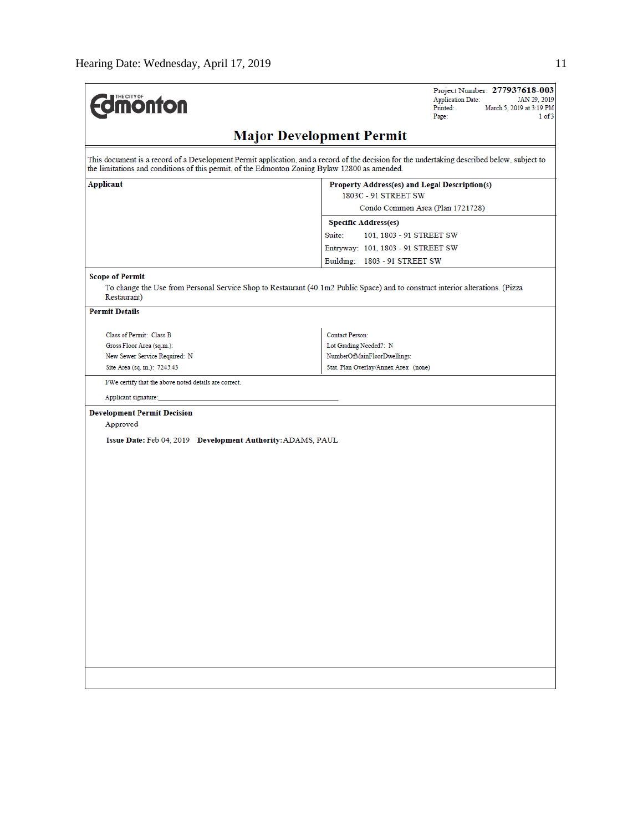| <b>monton</b>                                                                                 | Project Number: 277937618-003<br><b>Application Date:</b><br>JAN 29, 2019<br>Printed:<br>March 5, 2019 at 3:19 PM<br>Page:<br>1 of 3        |
|-----------------------------------------------------------------------------------------------|---------------------------------------------------------------------------------------------------------------------------------------------|
|                                                                                               | <b>Major Development Permit</b>                                                                                                             |
| the limitations and conditions of this permit, of the Edmonton Zoning Bylaw 12800 as amended. | This document is a record of a Development Permit application, and a record of the decision for the undertaking described below, subject to |
| <b>Applicant</b>                                                                              | Property Address(es) and Legal Description(s)<br>1803C - 91 STREET SW                                                                       |
|                                                                                               | Condo Common Area (Plan 1721728)                                                                                                            |
|                                                                                               | <b>Specific Address(es)</b>                                                                                                                 |
|                                                                                               | Suite:<br>101, 1803 - 91 STREET SW                                                                                                          |
|                                                                                               | Entryway: 101, 1803 - 91 STREET SW                                                                                                          |
|                                                                                               | Building: 1803 - 91 STREET SW                                                                                                               |
|                                                                                               |                                                                                                                                             |
| <b>Scope of Permit</b><br>Restaurant)                                                         | To change the Use from Personal Service Shop to Restaurant (40.1m2 Public Space) and to construct interior alterations. (Pizza              |
| <b>Permit Details</b>                                                                         |                                                                                                                                             |
| Class of Permit: Class B                                                                      | <b>Contact Person:</b>                                                                                                                      |
| Gross Floor Area (sq.m.):                                                                     | Lot Grading Needed?: N                                                                                                                      |
| New Sewer Service Required: N                                                                 | NumberOfMainFloorDwellings:                                                                                                                 |
| Site Area (sq. m.): 7245.43                                                                   | Stat. Plan Overlay/Annex Area: (none)                                                                                                       |
| I/We certify that the above noted details are correct.                                        |                                                                                                                                             |
|                                                                                               |                                                                                                                                             |
| Applicant signature:                                                                          |                                                                                                                                             |
| <b>Development Permit Decision</b>                                                            |                                                                                                                                             |
| Approved                                                                                      |                                                                                                                                             |
| Issue Date: Feb 04, 2019 Development Authority: ADAMS, PAUL                                   |                                                                                                                                             |
|                                                                                               |                                                                                                                                             |
|                                                                                               |                                                                                                                                             |
|                                                                                               |                                                                                                                                             |
|                                                                                               |                                                                                                                                             |
|                                                                                               |                                                                                                                                             |
|                                                                                               |                                                                                                                                             |
|                                                                                               |                                                                                                                                             |
|                                                                                               |                                                                                                                                             |
|                                                                                               |                                                                                                                                             |
|                                                                                               |                                                                                                                                             |
|                                                                                               |                                                                                                                                             |
|                                                                                               |                                                                                                                                             |
|                                                                                               |                                                                                                                                             |
|                                                                                               |                                                                                                                                             |
|                                                                                               |                                                                                                                                             |
|                                                                                               |                                                                                                                                             |
|                                                                                               |                                                                                                                                             |
|                                                                                               |                                                                                                                                             |
|                                                                                               |                                                                                                                                             |
|                                                                                               |                                                                                                                                             |
|                                                                                               |                                                                                                                                             |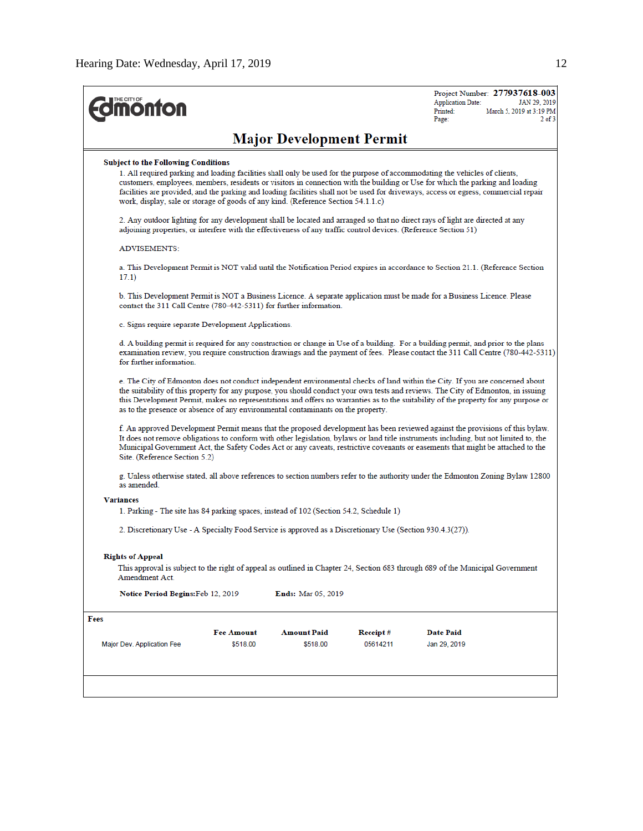| <b><i><u><u><b>MONTON</b></u></u></i></b>                                                                                       |                                                                                                                                                                                                                                                   |                                 |          | Project Number: 277937618-003<br>JAN 29, 2019<br><b>Application Date:</b><br>March 5, 2019 at 3:19 PM<br>Printed:<br>$2$ of $3$<br>Page:                                                                                                                                                                                                                                                                  |  |  |  |
|---------------------------------------------------------------------------------------------------------------------------------|---------------------------------------------------------------------------------------------------------------------------------------------------------------------------------------------------------------------------------------------------|---------------------------------|----------|-----------------------------------------------------------------------------------------------------------------------------------------------------------------------------------------------------------------------------------------------------------------------------------------------------------------------------------------------------------------------------------------------------------|--|--|--|
|                                                                                                                                 |                                                                                                                                                                                                                                                   | <b>Major Development Permit</b> |          |                                                                                                                                                                                                                                                                                                                                                                                                           |  |  |  |
| <b>Subject to the Following Conditions</b><br>work, display, sale or storage of goods of any kind. (Reference Section 54.1.1.c) |                                                                                                                                                                                                                                                   |                                 |          | 1. All required parking and loading facilities shall only be used for the purpose of accommodating the vehicles of clients,<br>customers, employees, members, residents or visitors in connection with the building or Use for which the parking and loading<br>facilities are provided, and the parking and loading facilities shall not be used for driveways, access or egress, commercial repair      |  |  |  |
|                                                                                                                                 | 2. Any outdoor lighting for any development shall be located and arranged so that no direct rays of light are directed at any<br>adjoining properties, or interfere with the effectiveness of any traffic control devices. (Reference Section 51) |                                 |          |                                                                                                                                                                                                                                                                                                                                                                                                           |  |  |  |
| <b>ADVISEMENTS:</b>                                                                                                             |                                                                                                                                                                                                                                                   |                                 |          |                                                                                                                                                                                                                                                                                                                                                                                                           |  |  |  |
| 17.1)                                                                                                                           | a. This Development Permit is NOT valid until the Notification Period expires in accordance to Section 21.1. (Reference Section                                                                                                                   |                                 |          |                                                                                                                                                                                                                                                                                                                                                                                                           |  |  |  |
|                                                                                                                                 | b. This Development Permit is NOT a Business Licence. A separate application must be made for a Business Licence. Please<br>contact the 311 Call Centre (780-442-5311) for further information.                                                   |                                 |          |                                                                                                                                                                                                                                                                                                                                                                                                           |  |  |  |
|                                                                                                                                 | c. Signs require separate Development Applications.                                                                                                                                                                                               |                                 |          |                                                                                                                                                                                                                                                                                                                                                                                                           |  |  |  |
| for further information                                                                                                         |                                                                                                                                                                                                                                                   |                                 |          | d. A building permit is required for any construction or change in Use of a building. For a building permit, and prior to the plans<br>examination review, you require construction drawings and the payment of fees. Please contact the 311 Call Centre (780-442-5311)                                                                                                                                   |  |  |  |
| as to the presence or absence of any environmental contaminants on the property.                                                |                                                                                                                                                                                                                                                   |                                 |          | e. The City of Edmonton does not conduct independent environmental checks of land within the City. If you are concerned about<br>the suitability of this property for any purpose, you should conduct your own tests and reviews. The City of Edmonton, in issuing<br>this Development Permit, makes no representations and offers no warranties as to the suitability of the property for any purpose or |  |  |  |
| Site. (Reference Section 5.2)                                                                                                   |                                                                                                                                                                                                                                                   |                                 |          | f. An approved Development Permit means that the proposed development has been reviewed against the provisions of this bylaw.<br>It does not remove obligations to conform with other legislation, bylaws or land title instruments including, but not limited to, the<br>Municipal Government Act, the Safety Codes Act or any caveats, restrictive covenants or easements that might be attached to the |  |  |  |
| as amended.                                                                                                                     |                                                                                                                                                                                                                                                   |                                 |          | g. Unless otherwise stated, all above references to section numbers refer to the authority under the Edmonton Zoning Bylaw 12800                                                                                                                                                                                                                                                                          |  |  |  |
| <b>Variances</b><br>1. Parking - The site has 84 parking spaces, instead of 102 (Section 54.2, Schedule 1)                      |                                                                                                                                                                                                                                                   |                                 |          |                                                                                                                                                                                                                                                                                                                                                                                                           |  |  |  |
|                                                                                                                                 |                                                                                                                                                                                                                                                   |                                 |          |                                                                                                                                                                                                                                                                                                                                                                                                           |  |  |  |
| 2. Discretionary Use - A Specialty Food Service is approved as a Discretionary Use (Section 930.4.3(27)).                       |                                                                                                                                                                                                                                                   |                                 |          |                                                                                                                                                                                                                                                                                                                                                                                                           |  |  |  |
| <b>Rights of Appeal</b><br>Amendment Act.                                                                                       |                                                                                                                                                                                                                                                   |                                 |          | This approval is subject to the right of appeal as outlined in Chapter 24, Section 683 through 689 of the Municipal Government                                                                                                                                                                                                                                                                            |  |  |  |
| Notice Period Begins: Feb 12, 2019                                                                                              |                                                                                                                                                                                                                                                   | <b>Ends:</b> Mar 05, 2019       |          |                                                                                                                                                                                                                                                                                                                                                                                                           |  |  |  |
| Fees                                                                                                                            |                                                                                                                                                                                                                                                   |                                 |          |                                                                                                                                                                                                                                                                                                                                                                                                           |  |  |  |
|                                                                                                                                 | <b>Fee Amount</b>                                                                                                                                                                                                                                 | <b>Amount Paid</b>              | Receipt# | Date Paid                                                                                                                                                                                                                                                                                                                                                                                                 |  |  |  |
| Major Dev. Application Fee                                                                                                      | \$518.00                                                                                                                                                                                                                                          | \$518.00                        | 05614211 | Jan 29, 2019                                                                                                                                                                                                                                                                                                                                                                                              |  |  |  |
|                                                                                                                                 |                                                                                                                                                                                                                                                   |                                 |          |                                                                                                                                                                                                                                                                                                                                                                                                           |  |  |  |
|                                                                                                                                 |                                                                                                                                                                                                                                                   |                                 |          |                                                                                                                                                                                                                                                                                                                                                                                                           |  |  |  |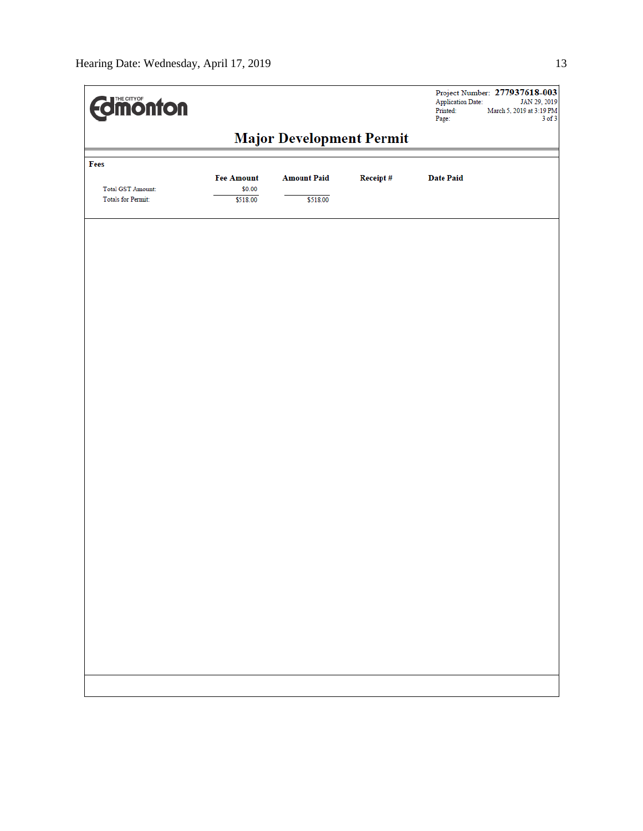| <b>Edimonton</b>                                      |                    |                    |          | <b>Application Date:</b><br>Printed:<br>Page: | Project Number: 277937618-003<br>JAN 29, 2019<br>March 5, 2019 at 3:19 PM<br>$3$ of $3$ |  |
|-------------------------------------------------------|--------------------|--------------------|----------|-----------------------------------------------|-----------------------------------------------------------------------------------------|--|
| <b>Major Development Permit</b>                       |                    |                    |          |                                               |                                                                                         |  |
| Fees                                                  | <b>Fee Amount</b>  | <b>Amount Paid</b> | Receipt# | <b>Date Paid</b>                              |                                                                                         |  |
| <b>Total GST Amount:</b><br><b>Totals for Permit:</b> | \$0.00<br>\$518.00 | \$518.00           |          |                                               |                                                                                         |  |
|                                                       |                    |                    |          |                                               |                                                                                         |  |
|                                                       |                    |                    |          |                                               |                                                                                         |  |
|                                                       |                    |                    |          |                                               |                                                                                         |  |
|                                                       |                    |                    |          |                                               |                                                                                         |  |
|                                                       |                    |                    |          |                                               |                                                                                         |  |
|                                                       |                    |                    |          |                                               |                                                                                         |  |
|                                                       |                    |                    |          |                                               |                                                                                         |  |
|                                                       |                    |                    |          |                                               |                                                                                         |  |
|                                                       |                    |                    |          |                                               |                                                                                         |  |
|                                                       |                    |                    |          |                                               |                                                                                         |  |
|                                                       |                    |                    |          |                                               |                                                                                         |  |
|                                                       |                    |                    |          |                                               |                                                                                         |  |
|                                                       |                    |                    |          |                                               |                                                                                         |  |
|                                                       |                    |                    |          |                                               |                                                                                         |  |
|                                                       |                    |                    |          |                                               |                                                                                         |  |
|                                                       |                    |                    |          |                                               |                                                                                         |  |
|                                                       |                    |                    |          |                                               |                                                                                         |  |